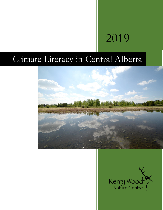# 2019

# Climate Literacy in Central Alberta



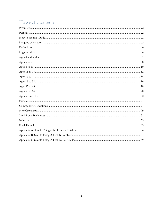# Table of Contents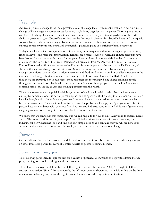# <span id="page-2-0"></span>Preamble

Addressing climate change is the most pressing global challenge faced by humanity. Failure to act on climate change will have negative consequences for every single living organism on the planet. Warming seas lead to coral reef bleaching. This in turn leads to a decrease in reef biodiversity and to a degradation of the earth's ability to generate oxygen. Desertification leads to the decrease in diverse plant-based habitats and the aquatic sources that feed them. Increasing global temperatures combined with human action have led to monocultured forest environments populated by specialist plants, in place of a thriving vibrant ecosystem.

Today's headlines of increasing numbers of forest fires, more frequent and more damaging cyclonic storms, rising sea levels, and mass insect population declines, are a manifestation of warnings climate scientists have been issuing for two decades. It is easy for people to look at places far away and decide that "it does not affect me." The intensity of the fires of Paradise California and Fort MacMurray, the brutal hurricane of Puerto Rico, the die off of a keystone species like purple seastars (*pisaster ochreceous)* on the Pacific coast, all show us that climate change does affect us *here.* Shorter farming seasons created by increasingly-regular drought conditions have put Central Alberta farmers and food production in peril. A smaller snowpack in the mountains and longer, hotter summers have directly led to lower water levels in the Red Deer River. Even though we are currently rich in resources, those resources are increasingly being shared amongst people fleeing climate-altered homelands –the climate refugees. Some of these people are your fellow Canadians escaping rising seas on the coasts, and melting permafrost in the North.

These macro-events are the publicly-visible symptoms of a climate in crisis; a crisis that has been created entirely by human action. It is our responsibility, as the one species with the ability to affect not only our own local habitats, but also places far away, to amend our own behaviours and educate and model sustainable behaviours to others. The climate will not fix itself and the problem will simply not "just go away." Direct, personal actions combined with supports from business and industry, educators, and all levels of government are going to have to be brought to bear to solve this unprecedented crisis.

We know that we cannot do this ourselves. But, we can help add to your toolkit. Every road to success needs a map. This framework is one of your maps. You will find sections for all ages, for small business, for industry, for new Canadians. You will find not only simple actions you can take but you will see how your actions build positive behaviours and ultimately, see the route to shared behaviour change.

# <span id="page-2-1"></span>Purpose

Create a climate literacy framework to be delivered to a variety of users by nature centres, advocacy groups, or other interested parties throughout Central Alberta to promote climate literacy.

# <span id="page-2-2"></span>How to use this Guide

The following pages include logic models for a variety of potential user groups to help with climate literacy programming for people of all ages and backgrounds.

The columns in a logic model can be read left to right to answer the question "Why?" or right to left to answer the question "How?". In other words, the left-most column showcases the activities that can be done as an individual or a group, while the right-most column answers the big picture motivation.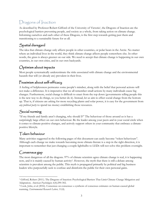# <span id="page-3-0"></span>Dragons of Inaction

As described by Professor Robert Gifford of the University of Victoria<sup>1</sup>, the Dragons of Inaction are the psychological barriers preventing people, and society as a whole, from taking action on climate change. Informing ourselves and each other of these Dragons, is the first step towards getting past them and transitioning to a sustainable future for us all.

### Spatial disregard

The idea that climate change only affects people in other countries, or polar bears in the Arctic. No matter where an individual lives in the world, they think climate change affects people somewhere else. In other words, the grass is always greener on our side. We need to accept that climate change is happening in our own countries, in our own cities, and in our own backyards.

### Optimism about impacts

Most people systematically underestimate the risks associated with climate change and the environmental hazards that will (or already are) prevalent in their lives.

### Pessimism about self-efficacy

A feeling of helplessness permeates some people's mindset, along with the belief that personal actions will not make a difference. It is imperative that we all remember small actions by many individuals cause big changes. Furthermore, social change is difficult to enact from the top down (governments telling people this is the new way to do things, so you better do it). Instead, let us aim to effect social change from the bottom up. That is, if citizens are asking for more recycling plants and solar power, it is easy for the government from *any political party* to spend tax money establishing those resources.

### Social norming

"If my friends and family aren't changing, why should I?" The behaviour of those around us is has a surprisingly large effect on our own behaviour. Be the leader among your peers and in your social circle when it comes to climate-positive changes, and actively support others in your community that embrace a climatepositive lifestyle.

### Token behaviour

Many activities suggested in the following pages of this document can easily become "token behaviours". Although each change we make towards becoming more climate-literate is a step in the right direction, it is important to remember that just changing a couple lightbulbs to LEDs will not solve this problem overnight.

### Consensus gap

The most dangerous of all the dragons. 97% of climate scientists agree climate change is real, it is happening now, and it is mainly caused by human activity<sup>2</sup> . However, the myth that there is still a debate among scientists is prevalent among the public. This myth is propagated primarily by political and big business leaders who purposefully seek to confuse and disinform the public for their own personal gains.

 $\overline{a}$ <sup>1</sup> Gifford, Robert (2011). The Dragons of Inaction: Psychological Barriers That Limit Climate Change Mitigation and Adaptation. *American Psychologist,* 6(4):290-302.

<sup>2</sup> Cook, John, et al (2016). [Consensus on consensus: a synthesis of consensus estimates on human-caused global](http://iopscience.iop.org/article/10.1088/1748-9326/11/4/048002)  [warming.](http://iopscience.iop.org/article/10.1088/1748-9326/11/4/048002) *Environmental Research Letters,* 11(4).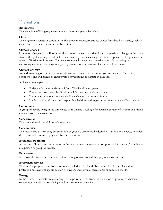## <span id="page-4-0"></span>Definitions

#### **Biodiversity**

The variability of living organisms in our wold or in a particular habitat.

#### **Climate**

The long-term average of conditions in the atmosphere, ocean, and ice sheets described by statistics, such as means and extremes. Climate varies by region.

#### **Climate Change**

Long-term changes in the Earth's weather patterns, as seen by a significant and persistent change in the mean state of the global or regional climate or its variability. Climate change occurs in response to changes in some aspect of Earth's environment. These environmental changes can be either naturally occurring or anthropogenic. Climate change is a global phenomenon; the actions of a few affect the many.

#### **Climate Literacy**

An understanding of your influence on climate and climate's influence on you and society. The ability, confidence, and willingness to engage with conversations on climate in daily life.

A climate-literate person:

- Understands the essential principles of Earth's climate system
- Knows how to assess scientifically credible information about climate
- Communicates about climate and climate change in a meaningful way
- Is able to make informed and responsible decisions with regard to actions that may affect climate

#### **Community**

A group of people living in the same place or that share a feeling of fellowship because of a common attitude, interest, goal, or characteristic.

#### **Conservation**

The prevention of wasteful use of a resource.

#### **Consumerism**

The theory that an increasing consumption of goods is economically desirable. Can lead to a society in which the buying and owning of physical objects is overvalued.

#### **Ecological Footprint**

A measure of how many resources from the environment are needed to support the lifestyle and/or activities of a person or group of people.

#### **Ecosystem**

A biological network or community of interacting organisms and their physical environment.

#### **Ecosystem Services**

The benefits people obtain from ecosystems, including: food and fiber, water, flood control, erosion protection nutrient cycling, production of oxygen, and spiritual, recreational or cultural benefits.

#### **Energy**

In the context of climate literacy, energy is the power derived from the utilization of physical or chemical resources, especially to provide light and heat or to work machines.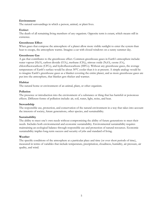#### **Environment**

The natural surroundings in which a person, animal, or plant lives.

#### **Extinct**

The death of all remaining living members of any organism. Opposite term is extant, which means still in existence.

#### **Greenhouse Effect**

When gases that compose the atmosphere of a planet allow more visible sunlight to enter the system than heat to escape, the atmosphere warms. Imagine a car with closed windows on a sunny summer day.

#### **Greenhouse Gas**

A gas that contributes to the greenhouse effect. Common greenhouse gases in Earth's atmosphere include: water vapour (H<sub>2</sub>O), carbon dioxide (CO<sub>2</sub>), methane (CH<sub>4</sub>), nitrous oxide (N<sub>2</sub>O), ozone (O<sub>3</sub>), chlorofluorocarbons (CFCs), and hydrofluorocarbons (HFCs). Without any greenhouse gases, the average temperature of Earth's surface would be about 30°C cooler than it is at present. A simple analogy would be to imagine Earth's greenhouse gases as a blanket covering the entire planet, and as more greenhouse gases are put into the atmosphere, that blanket gets thicker and warmer.

#### **Habitat**

The natural home or environment of an animal, plant, or other organism.

#### **Pollution**

The presence or introduction into the environment of a substance or thing that has harmful or poisonous effects. Different forms of pollution include: air, soil, water, light, noise, and heat.

#### **Stewardship**

The responsible use, protection, and conservation of the natural environment in a way that takes into account the interests of society, future generations, other species, and sustainability.

#### **Sustainability**

The ability to meet one's own needs without compromising the ability of future generations to meet their needs. Includes both environmental and economic sustainability. Environmental sustainability requires maintaining an ecological balance through responsible use and protection of natural resources. Economic sustainability implies long-term success and security of jobs and standard of living.

#### **Weather**

The specific conditions of the atmosphere at a particular place and time (or over short periods of time), measured in terms of variables that include temperature, precipitation, cloudiness, humidity, air pressure, air quality, and wind.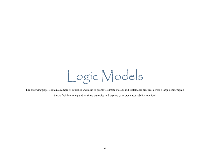Logic Models

<span id="page-6-0"></span>The following pages contain a sample of activities and ideas to promote climate literacy and sustainable practices across a large demographic.

Please feel free to expand on these examples and explore your own sustainability practices!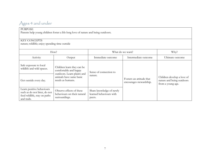# Ages 4 and under

#### PURPOSE

Parents help young children foster a life-long love of nature and being outdoors.

#### KEY CONCEPTS

nature; wildlife; enjoy spending time outside

<span id="page-7-0"></span>

| How?                                                                                                      |                                                                                   | What do we want?                                              |                                                     | Why?                                                                         |
|-----------------------------------------------------------------------------------------------------------|-----------------------------------------------------------------------------------|---------------------------------------------------------------|-----------------------------------------------------|------------------------------------------------------------------------------|
| Activity                                                                                                  | Output                                                                            | Immediate outcome                                             | Intermediate outcome                                | Ultimate outcome                                                             |
| Safe exposure to local<br>wildlife and wild spaces.                                                       | Children learn they can be<br>comfortable and happy<br>outdoors. Learn plants and | Sense of connection to                                        |                                                     |                                                                              |
| Get outside every day.                                                                                    | animals have same basic<br>needs as humans.                                       | nature.                                                       | Fosters an attitude that<br>encourages stewardship. | Children develop a love of<br>nature and being outdoors<br>from a young age. |
| Learn positive behaviours<br>such as do not litter, do not<br>feed wildlife, stay on paths<br>and trails. | Observe effects of these<br>behaviours on their natural<br>surroundings.          | Share knowledge of newly<br>learned behaviours with<br>peers. |                                                     |                                                                              |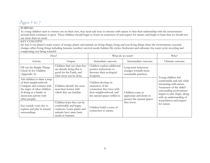# Ages 5 to 7

#### PURPOSE

As young children start to venture out on their own, they need safe ways to interact with nature so that their relationship with the environment around them continues to grow. These children should begin to foster an awareness of and respect for nature, and begin to learn that we should not use more than we need.

#### KEY CONCEPTS

the Sun is our planet's main source of energy; plants and animals are living things; living and non-living things share the environment; seasonal changes affect living things including humans; weather; survival needs; habitat; life cycles; freshwater and saltwater; the water cycle; recycling and composting; not being wasteful

<span id="page-8-0"></span>

| How?<br>What do we want?                                                                                                                                                                 |                                                                                                                                  |                                                                                                                                   | Why?                                                                       |                                                                                                                                                                                                      |
|------------------------------------------------------------------------------------------------------------------------------------------------------------------------------------------|----------------------------------------------------------------------------------------------------------------------------------|-----------------------------------------------------------------------------------------------------------------------------------|----------------------------------------------------------------------------|------------------------------------------------------------------------------------------------------------------------------------------------------------------------------------------------------|
| Activity                                                                                                                                                                                 | Output                                                                                                                           | Immediate outcome                                                                                                                 | Intermediate outcome                                                       | Ultimate outcome                                                                                                                                                                                     |
| Fill out the Simple Things<br>Check In for Children<br>(Appendix A).                                                                                                                     | Children find out what they<br>are already doing that is<br>good for the Earth, and<br>what more can be done.                    | Children explore additional<br>positive behaviours to<br>decrease their ecological<br>footprint.                                  | Long-term behaviour<br>changes towards more<br>sustainable practices.      | Young children feel                                                                                                                                                                                  |
| Ask children to draw a map<br>of their neighbourhood.<br>Compare and contrast with<br>the maps of other children<br>(if doing as a family or<br>classroom activity with<br>other people) | Children identify the areas<br>near their homes with<br>which they are familiar.                                                 | Children develop an<br>awareness of the<br>connection they have with<br>their neighbourhood, and<br>the natural spaces within it. | Children come to<br>appreciate and desire to<br>protect the natural spaces | comfortable and safe while<br>interacting with nature.<br>Awareness of the child's<br>surrounding environment<br>begins to take shape, along<br>with an understanding of<br>wastefulness and respect |
| Get outside every day to<br>explore and play in natural<br>surroundings.                                                                                                                 | Children learn they can be<br>comfortable and happy<br>outdoors. Learn plants and<br>animals have same basic<br>needs as humans. | Children build a sense of<br>connection to nature.                                                                                | they know.                                                                 | for nature.                                                                                                                                                                                          |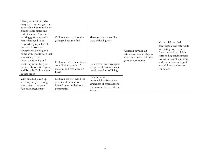| Have your next birthday<br>party make as little garbage<br>as possible. Use reusable or<br>compostable plates and<br>forks for cake. Ask friends<br>to bring gifts wrapped in<br>items that need to be<br>recycled anyways, like old<br>cardboard boxes or<br>newspapers. Send guests<br>home with goodie bags that<br>you made yourself. | Children learn to lose the<br>garbage, keep the fun!                                             | Message of sustainability<br>stays with all guests.                                                                  | Children develop an<br>attitude of stewardship in<br>their own lives and in the | Young children feel<br>comfortable and safe while<br>interacting with nature.<br>Awareness of the child's<br>surrounding environment<br>begins to take shape, along |
|-------------------------------------------------------------------------------------------------------------------------------------------------------------------------------------------------------------------------------------------------------------------------------------------------------------------------------------------|--------------------------------------------------------------------------------------------------|----------------------------------------------------------------------------------------------------------------------|---------------------------------------------------------------------------------|---------------------------------------------------------------------------------------------------------------------------------------------------------------------|
| Learn the four R's and<br>what they mean for you:<br>Reduce, Reuse, Repurpose,<br>and Recycle. Follow them<br>in that order!                                                                                                                                                                                                              | Children realize there is not<br>an unlimited supply of<br>material and resources on<br>Earth.   | Reduce cost and ecological<br>footprint of maintaining a<br>certain standard of living.                              | greater community.                                                              | with an understanding of<br>wastefulness and respect<br>for nature.                                                                                                 |
| With an adult, clean up<br>litter in your yard, along<br>your street, or at your<br>favourite green space.                                                                                                                                                                                                                                | Children see first-hand the<br>extent and number of<br>littered items in their own<br>community. | Creates personal<br>responsibility for and an<br>awareness of small actions<br>children can do to make an<br>impact. |                                                                                 |                                                                                                                                                                     |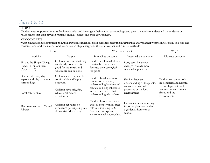# Ages 8 to 10

#### PURPOSE

Children need opportunities to safely interact with and investigate their natural surroundings, and given the tools to understand the evidence of relationships that exist between humans, animals, plants, and their environment.

#### KEY CONCEPTS

water conservation; biomimicry; pollution; survival; extinction; fossil evidence; scientific investigation and variables; weathering; erosion; soil uses and conservation; food chains and food webs; stewardship; energy and the Sun; weather and climate; wetlands

<span id="page-10-0"></span>

|                                                                          | How?                                                                                                          |                                                                                                                                              | What do we want?                                                                                | Why?                                                                              |
|--------------------------------------------------------------------------|---------------------------------------------------------------------------------------------------------------|----------------------------------------------------------------------------------------------------------------------------------------------|-------------------------------------------------------------------------------------------------|-----------------------------------------------------------------------------------|
| Activity                                                                 | Output                                                                                                        | Immediate outcome                                                                                                                            | Intermediate outcome                                                                            | Ultimate outcome                                                                  |
| Fill out the Simple Things<br>Check In for Children<br>(Appendix A).     | Children find out what they<br>are already doing that is<br>good for the Earth, and<br>what more can be done. | Children explore additional<br>positive behaviours to<br>decrease their ecological<br>footprint.                                             | Long-term behaviour<br>changes towards more<br>sustainable practices.                           |                                                                                   |
| Get outside every day to<br>explore and play in natural<br>surroundings. | Children learn they can be<br>comfortable and happy<br>outdoors.                                              | Children build a sense of<br>connection to nature,<br>understanding local natural                                                            | Families have an<br>understanding of the plants,<br>animals and natural                         | Children recognize both<br>the beneficial and harmful<br>relationships that exist |
| Local nature-hikes                                                       | Children have safe, fun,<br>educational nature<br>experiences.                                                | habitats as being inherently<br>safe, and can share that<br>understanding with others.                                                       | processes of the local<br>environment.                                                          | between humans, animals,<br>plants, and the<br>environment.                       |
| Plant trees native to Central<br>Alberta.                                | Children get hands on<br>experience participating in a<br>climate-friendly activity.                          | Children learn about water<br>and soil conservation, trees'<br>role in eliminating CO2<br>from the atmosphere,<br>environmental stewardship. | Generate interest in caring<br>for other plants or tending<br>a garden at home or at<br>school. |                                                                                   |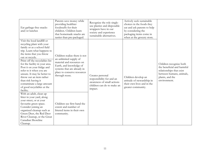| Eat garbage-free snacks<br>and/or lunches                                                                                                                                                                                                                                                                                                                                                                                                                      | Parents save money while<br>providing healthier<br>foodstuffs for their<br>children. Children learn<br>that homemade snacks are<br>tastier than pre-packaged.                                   | Recognize the role single-<br>use plastics and disposable<br>wrappers have in our<br>society and experience<br>sustainable alternatives. | Actively seek sustainable<br>choices in the foods they<br>eat and ask parents to help<br>by considering the<br>packaging items come in<br>when at the grocery store. |                                                                                                                                                  |
|----------------------------------------------------------------------------------------------------------------------------------------------------------------------------------------------------------------------------------------------------------------------------------------------------------------------------------------------------------------------------------------------------------------------------------------------------------------|-------------------------------------------------------------------------------------------------------------------------------------------------------------------------------------------------|------------------------------------------------------------------------------------------------------------------------------------------|----------------------------------------------------------------------------------------------------------------------------------------------------------------------|--------------------------------------------------------------------------------------------------------------------------------------------------|
| Visit the local landfill or<br>recycling plant with your<br>family or as a school field<br>trip. Learn what happens to<br>the items that you throw<br>out or recycle.<br>Print off the recyclables list<br>for the facility in your area.<br>Post it on your fridge and<br>refer to it when you are<br>unsure. It may be better to<br>throw out an item rather<br>than risk having it<br>contaminate a large amount<br>of good recyclables at the<br>facility. | Children realize there is not<br>an unlimited supply of<br>material and resources on<br>Earth, and knowledge of<br>systems that are already in<br>place to conserve resources<br>through reuse. | Creates personal<br>responsibility for and an<br>awareness of small actions<br>children can do to make an<br>impact.                     | Children develop an<br>attitude of stewardship in<br>their own lives and in the<br>greater community.                                                                | Children recognize both<br>the beneficial and harmful<br>relationships that exist<br>between humans, animals,<br>plants, and the<br>environment. |
| With an adult, clean up<br>litter in your yard, along<br>your street, or at your<br>favourite green space.<br>Consider joining an<br>organized cleanup such as<br>Green Deer, the Red Deer<br>River Cleanup, or the Great<br>Canadian Shoreline<br>Cleanup.                                                                                                                                                                                                    | Children see first-hand the<br>extent and number of<br>littered items in their own<br>community.                                                                                                |                                                                                                                                          |                                                                                                                                                                      |                                                                                                                                                  |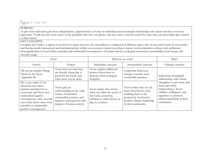# Ages 11 to 14

#### **PURPOSE**

As pre-teens and teens gain more independence, opportunities to foster an individual and meaningful relationship with nature become ever more important. Youth become more aware of the problems that face our planet, and may start to actively search for ways they can personally take control of their future.

#### KEY CONCEPTS

recognize the Earth is a sphere in motion in a larger universe; the atmosphere is composed of different gases; role of trees and forests in ecosystems and human needs; interactions and interdependency within an ecosystem; matter recycling in nature via decomposers; carbon cycle; pollutants; biomagnification in food chains; intended and unintended consequences of human activity; ecological succession; sustainability; heat energy and resource usage

<span id="page-12-0"></span>

| How?                                                                                                                                                                                                                                          |                                                                                                                                                            | What do we want?                                                                                                                             |                                                                                                                                                               | Why?                                                                                                                                                                    |
|-----------------------------------------------------------------------------------------------------------------------------------------------------------------------------------------------------------------------------------------------|------------------------------------------------------------------------------------------------------------------------------------------------------------|----------------------------------------------------------------------------------------------------------------------------------------------|---------------------------------------------------------------------------------------------------------------------------------------------------------------|-------------------------------------------------------------------------------------------------------------------------------------------------------------------------|
| Activity                                                                                                                                                                                                                                      | Output                                                                                                                                                     | Immediate outcome                                                                                                                            | Intermediate outcome                                                                                                                                          | Ultimate outcome                                                                                                                                                        |
| Fill out the Simple Things<br>Check In for Teens<br>(Appendix B).                                                                                                                                                                             | Teens find out what they<br>are already doing that is<br>good for the Earth, and<br>what more can be done.                                                 | Teens explore additional<br>positive behaviours to<br>decrease their ecological<br>footprint.                                                | Long-term behaviour<br>changes towards more<br>sustainable practices.                                                                                         | Individual, meaningful<br>relationships with nature                                                                                                                     |
| Do a case study of one<br>historical case where<br>humans interfered in an<br>ecosystem and there were<br>unintended negative<br>consequences, and a second<br>case study where there were<br>intended or unintended<br>positive consequences | Teens gain an<br>understanding of the wide<br>variety of intended,<br>unintended, positive, and<br>negative consequences and<br>impacts of human activity. | Teens realize that actions<br>taken are often the result of<br>the social, economic,<br>political, or other factors at<br>play in a society. | Teens realize that we can<br>learn from history, thus<br>enabling them to be<br>proactively involved in<br>positive climate leadership<br>in their community. | strengthen as pre-teens and<br>teens gain more<br>independence. Teens<br>exhibit a willingness and<br>eagerness to promote<br>climate leadership in their<br>community. |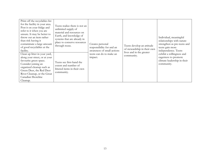| Print off the recyclables list<br>for the facility in your area.<br>Post it on your fridge and<br>refer to it when you are<br>unsure. It may be better to<br>throw out an item rather<br>than risk having it<br>contaminate a large amount<br>of good recyclables at the<br>facility. | Teens realize there is not an<br>unlimited supply of<br>material and resources on<br>Earth, and knowledge of<br>systems that are already in<br>place to conserve resources<br>through reuse. | Creates personal<br>responsibility for and an<br>awareness of small actions | Teens develop an attitude<br>of stewardship in their own<br>lives and in the greater | Individual, meaningful<br>relationships with nature<br>strengthen as pre-teens and<br>teens gain more<br>independence. Teens |
|---------------------------------------------------------------------------------------------------------------------------------------------------------------------------------------------------------------------------------------------------------------------------------------|----------------------------------------------------------------------------------------------------------------------------------------------------------------------------------------------|-----------------------------------------------------------------------------|--------------------------------------------------------------------------------------|------------------------------------------------------------------------------------------------------------------------------|
| Clean up litter in your yard,<br>along your street, or at your<br>favourite green space.<br>Consider joining an<br>organized cleanup such as<br>Green Deer, the Red Deer<br>River Cleanup, or the Great<br>Canadian Shoreline<br>Cleanup.                                             | Teens see first-hand the<br>extent and number of<br>littered items in their own<br>community.                                                                                                | teens can do to make an<br>impact.                                          | community.                                                                           | exhibit a willingness and<br>eagerness to promote<br>climate leadership in their<br>community.                               |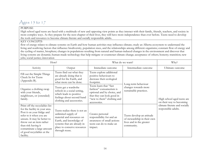## Ages 15 to 17

#### PURPOSE

High school aged teens are faced with a multitude of new and opposing view points as they interact with their family, friends, teachers, and society in more complex ways. As they prepare for the next chapter of their lives, they will have more independence than ever before. Teens need to develop the tools and resources to become climate-literate and socially responsible adults.

#### KEY CONCEPTS

flow of energy relates to climate systems on Earth and how human activities may influence climate; study an Alberta ecosystem to understand the living and nonliving factors that influence biodiversity, population sizes, and the relationships among different organisms; constant flow of energy and the cycling of matter, biosphere; changes in populations resulting from natural and human-induced changes in the environment and discover that living systems are dynamic; human-made technology that help mitigate or counteract climate change; acceptance of others; honesty; transition; new jobs; social justice; innovation

<span id="page-14-0"></span>

|                                                                                                                                                                                                                                                                                       | How?                                                                                                                                                                                         |                                                                                                                                                              | What do we want?                                                                                   | Why?                                                   |
|---------------------------------------------------------------------------------------------------------------------------------------------------------------------------------------------------------------------------------------------------------------------------------------|----------------------------------------------------------------------------------------------------------------------------------------------------------------------------------------------|--------------------------------------------------------------------------------------------------------------------------------------------------------------|----------------------------------------------------------------------------------------------------|--------------------------------------------------------|
| Activity                                                                                                                                                                                                                                                                              | Output                                                                                                                                                                                       | Immediate outcome                                                                                                                                            | Intermediate outcome                                                                               | Ultimate outcome                                       |
| Fill out the Simple Things<br>Check In for Teens<br>(Appendix B).                                                                                                                                                                                                                     | Teens find out what they<br>are already doing that is<br>good for the Earth, and<br>what more can be done.                                                                                   | Teens explore additional<br>positive behaviours to<br>decrease their ecological<br>footprint.                                                                | Long-term behaviour                                                                                |                                                        |
| Organize a clothing swap<br>with your friends,<br>neighbours, or (extended)<br>family.                                                                                                                                                                                                | Teens get a wardrobe<br>refresh in a social setting,<br>which leads to positive<br>feelings about second-hand<br>clothing and accessories.                                                   | Teens learn that "fast<br>fashion" consumerism is<br>optional and by choice, and<br>that they can look good in<br>"new to them" clothing and<br>accessories. | changes towards more<br>sustainable practices.                                                     | High school aged teens are<br>on their way to becoming |
| Print off the recyclables list<br>for the facility in your area.<br>Post it on your fridge and<br>refer to it when you are<br>unsure. It may be better to<br>throw out an item rather<br>than risk having it<br>contaminate a large amount<br>of good recyclables at the<br>facility. | Teens realize there is not an<br>unlimited supply of<br>material and resources on<br>Earth, and knowledge of<br>systems that are already in<br>place to conserve resources<br>through reuse. | Creates personal<br>responsibility for and an<br>awareness of small actions<br>teens can do to make an<br>impact.                                            | Teens develop an attitude<br>of stewardship in their own<br>lives and in the greater<br>community. | climate-literate and socially<br>responsible adults.   |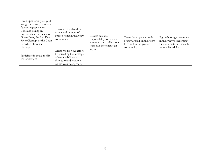| Clean up litter in your yard,<br>along your street, or at your<br>favourite green space.<br>Consider joining an<br>organized cleanup such as<br>Green Deer, the Red Deer<br>River Cleanup, or the Great<br>Canadian Shoreline<br>Cleanup. | Teens see first-hand the<br>extent and number of<br>littered items in their own<br>community.                                        | Creates personal<br>responsibility for and an<br>awareness of small actions<br>teens can do to make an | Teens develop an attitude<br>of stewardship in their own<br>lives and in the greater<br>community. | High school aged teens are<br>on their way to becoming<br>climate-literate and socially<br>responsible adults |
|-------------------------------------------------------------------------------------------------------------------------------------------------------------------------------------------------------------------------------------------|--------------------------------------------------------------------------------------------------------------------------------------|--------------------------------------------------------------------------------------------------------|----------------------------------------------------------------------------------------------------|---------------------------------------------------------------------------------------------------------------|
| Participate in social media<br>eco-challenges.                                                                                                                                                                                            | Acknowledge your efforts<br>by spreading the message<br>of sustainability and<br>climate-friendly actions<br>within your peer group. | impact.                                                                                                |                                                                                                    |                                                                                                               |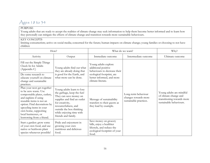## Ages 18 to 34

#### PURPOSE

Young adults that are ready to accept the realities of climate change may seek information to help them become better informed and to learn how they personally can mitigate the effects of climate change and transition towards more sustainable behaviours.

#### KEY CONCEPTS

limiting consumerism; active on social media; concerned for the future; human impacts on climate change; young families or choosing to not have children

<span id="page-16-0"></span>

| How?                                                                                                                                                                                                                                                                           |                                                                                                                                                                                                                                             | What do we want?                                                                                                        |                                                                       | Why?                                                                                                       |
|--------------------------------------------------------------------------------------------------------------------------------------------------------------------------------------------------------------------------------------------------------------------------------|---------------------------------------------------------------------------------------------------------------------------------------------------------------------------------------------------------------------------------------------|-------------------------------------------------------------------------------------------------------------------------|-----------------------------------------------------------------------|------------------------------------------------------------------------------------------------------------|
| Activity                                                                                                                                                                                                                                                                       | Output                                                                                                                                                                                                                                      | Immediate outcome                                                                                                       | Intermediate outcome                                                  | Ultimate outcome                                                                                           |
| Fill out the Simple Things<br>Check In for Adults<br>(Appendix C)                                                                                                                                                                                                              | Young adults find out what<br>they are already doing that                                                                                                                                                                                   | Young adults explore<br>additional positive<br>behaviours to decrease their                                             |                                                                       |                                                                                                            |
| Do some research to<br>educate yourself on climate<br>change and sustainable<br>practices.                                                                                                                                                                                     | is good for the Earth, and<br>what more can be done.                                                                                                                                                                                        | ecological footprint, are<br>better informed, and more<br>climate-literate.                                             |                                                                       |                                                                                                            |
| Plan your next get-together<br>to be zero waste. Use<br>compostable plates, cutlery,<br>and napkins if using<br>reusable items is not an<br>option. Find decorations by<br>upcycling items in your<br>own home, supporting<br>local businesses, or<br>borrowing from a friend. | Young adults learn to lose<br>the garbage, keep the fun!<br>They can save money on<br>supplies and find an outlet<br>for creativity,<br>resourcefulness, and<br>outside the box thinking<br>while enjoying time with<br>friends and family. | Message of sustainability<br>transfers to their guests as<br>they lead by example.                                      | Long-term behaviour<br>changes towards more<br>sustainable practices. | Young adults are mindful<br>of climate change and<br>transitioning towards more<br>sustainable behaviours. |
| Start a garden: grow some<br>of your own food, and use<br>native or heirloom plant<br>species whenever possible!                                                                                                                                                               | Pride and enjoyment in<br>growing your own<br>nutritious and delicious<br>food.                                                                                                                                                             | Save money on grocery<br>bills, enjoy a healthier<br>lifestyle, and reduce the<br>ecological footprint of your<br>food. |                                                                       |                                                                                                            |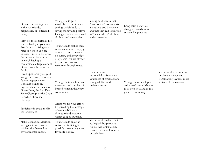| Organize a clothing swap<br>with your friends,<br>neighbours, or (extended)<br>family.                                                                                                                                                                                                | Young adults get a<br>wardrobe refresh in a social<br>setting, which leads to<br>saving money and positive<br>feelings about second-hand<br>clothing and accessories.                               | Young adults learn that<br>"fast fashion" consumerism<br>is optional and by choice,<br>and that they can look good<br>in "new to them" clothing<br>and accessories. | Long-term behaviour<br>changes towards more<br>sustainable practices.                                     |                                                                                                            |
|---------------------------------------------------------------------------------------------------------------------------------------------------------------------------------------------------------------------------------------------------------------------------------------|-----------------------------------------------------------------------------------------------------------------------------------------------------------------------------------------------------|---------------------------------------------------------------------------------------------------------------------------------------------------------------------|-----------------------------------------------------------------------------------------------------------|------------------------------------------------------------------------------------------------------------|
| Print off the recyclables list<br>for the facility in your area.<br>Post it on your fridge and<br>refer to it when you are<br>unsure. It may be better to<br>throw out an item rather<br>than risk having it<br>contaminate a large amount<br>of good recyclables at the<br>facility. | Young adults realize there<br>is not an unlimited supply<br>of material and resources<br>on Earth, and knowledge<br>of systems that are already<br>in place to conserve<br>resources through reuse. |                                                                                                                                                                     |                                                                                                           |                                                                                                            |
| Clean up litter in your yard,<br>along your street, or at your<br>favourite green space.<br>Consider joining an<br>organized cleanup such as<br>Green Deer, the Red Deer<br>River Cleanup, or the Great<br>Canadian Shoreline<br>Cleanup.                                             | Young adults see first-hand<br>the extent and number of<br>littered items in their own<br>community.                                                                                                | Creates personal<br>responsibility for and an<br>awareness of small actions<br>young adults can do to<br>make an impact.                                            | Young adults develop an<br>attitude of stewardship in<br>their own lives and in the<br>greater community. | Young adults are mindful<br>of climate change and<br>transitioning towards more<br>sustainable behaviours. |
| Participate in social media<br>eco-challenges.                                                                                                                                                                                                                                        | Acknowledge your efforts<br>by spreading the message<br>of sustainability and<br>climate-friendly actions<br>within your peer group.                                                                |                                                                                                                                                                     |                                                                                                           |                                                                                                            |
| Make a conscious decision<br>to engage in sustainable<br>hobbies that have a low<br>environmental impact.                                                                                                                                                                             | Young adults enjoy an<br>active and fulfilling life,<br>possibly discovering a new<br>favourite hobby.                                                                                              | Young adults reduce their<br>ecological footprint and<br>realize that sustainability<br>corresponds to all aspects<br>of their lives.                               |                                                                                                           |                                                                                                            |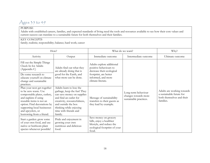## Ages 35 to 49

#### PURPOSE

Adults with established careers, families, and expected standards of living need the tools and resources available to see how their core values and current success can translate to a sustainable future for both themselves and their families.

#### KEY CONCEPTS

family; realistic; responsibility; balance; hard work; career

<span id="page-18-0"></span>

| How?                                                                                                                                                                                                                                                    |                                                                                                                                                                                                                                       | What do we want?                                                                                                        |                                                                       | Why?                                                                                             |
|---------------------------------------------------------------------------------------------------------------------------------------------------------------------------------------------------------------------------------------------------------|---------------------------------------------------------------------------------------------------------------------------------------------------------------------------------------------------------------------------------------|-------------------------------------------------------------------------------------------------------------------------|-----------------------------------------------------------------------|--------------------------------------------------------------------------------------------------|
| Activity                                                                                                                                                                                                                                                | Output                                                                                                                                                                                                                                | Immediate outcome                                                                                                       | Intermediate outcome                                                  | Ultimate outcome                                                                                 |
| Fill out the Simple Things<br>Check In for Adults<br>(Appendix C)<br>Do some research to                                                                                                                                                                | Adults find out what they<br>are already doing that is<br>good for the Earth, and                                                                                                                                                     | Adults explore additional<br>positive behaviours to<br>decrease their ecological<br>footprint, are better               |                                                                       |                                                                                                  |
| educate yourself on climate<br>change and sustainable<br>practices.                                                                                                                                                                                     | what more can be done.                                                                                                                                                                                                                | informed, and more<br>climate-literate.                                                                                 |                                                                       |                                                                                                  |
| Plan your next get-together<br>to be zero waste. Use<br>compostable plates, cutlery,<br>and napkins if using<br>reusable items is not an<br>option. Find decorations by<br>supporting local businesses<br>and upcyclers, or<br>borrowing from a friend. | Adults learn to lose the<br>garbage, keep the fun! They<br>can save money on supplies<br>and find an outlet for<br>creativity, resourcefulness,<br>and outside the box<br>thinking while enjoying<br>time with friends and<br>family. | Message of sustainability<br>transfers to their guests as<br>they lead by example.                                      | Long-term behaviour<br>changes towards more<br>sustainable practices. | Adults are working towards<br>a sustainable future for<br>both themselves and their<br>families. |
| Start a garden: grow some<br>of your own food, and use<br>native or heirloom plant<br>species whenever possible!                                                                                                                                        | Pride and enjoyment in<br>growing your own<br>nutritious and delicious<br>food.                                                                                                                                                       | Save money on grocery<br>bills, enjoy a healthier<br>lifestyle, and reduce the<br>ecological footprint of your<br>food. |                                                                       |                                                                                                  |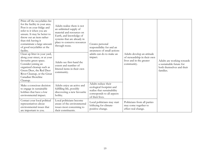| Print off the recyclables list<br>for the facility in your area.<br>Post it on your fridge and<br>refer to it when you are<br>unsure. It may be better to<br>throw out an item rather<br>than risk having it<br>contaminate a large amount<br>of good recyclables at the<br>facility. | Adults realize there is not<br>an unlimited supply of<br>material and resources on<br>Earth, and knowledge of<br>systems that are already in<br>place to conserve resources<br>through reuse. | Creates personal<br>responsibility for and an<br>awareness of small actions                                                     |                                                                                                     |                                                                                                  |
|---------------------------------------------------------------------------------------------------------------------------------------------------------------------------------------------------------------------------------------------------------------------------------------|-----------------------------------------------------------------------------------------------------------------------------------------------------------------------------------------------|---------------------------------------------------------------------------------------------------------------------------------|-----------------------------------------------------------------------------------------------------|--------------------------------------------------------------------------------------------------|
| Clean up litter in your yard,<br>along your street, or at your<br>favourite green space.<br>Consider joining an<br>organized cleanup such as<br>Green Deer, the Red Deer<br>River Cleanup, or the Great<br>Canadian Shoreline<br>Cleanup.                                             | Adults see first-hand the<br>extent and number of<br>littered items in their own<br>community.                                                                                                | adults can do to make an<br>impact.                                                                                             | Adults develop an attitude<br>of stewardship in their own<br>lives and in the greater<br>community. | Adults are working towards<br>a sustainable future for<br>both themselves and their<br>families. |
| Make a conscious decision<br>to engage in sustainable<br>hobbies that have a low<br>environmental impact.                                                                                                                                                                             | Adults enjoy an active and<br>fulfilling life, possibly<br>discovering a new favourite<br>hobby.                                                                                              | Adults reduce their<br>ecological footprint and<br>realize that sustainability<br>corresponds to all aspects<br>of their lives. |                                                                                                     |                                                                                                  |
| Contact your local political<br>representatives about<br>environmental issues that<br>are important to you.                                                                                                                                                                           | Local politicians become<br>aware of the environmental<br>issues most concerning to<br>their constituents.                                                                                    | Local politicians may start<br>lobbying for climate-<br>positive change.                                                        | Politicians from all parties<br>may come together to<br>effect real change.                         |                                                                                                  |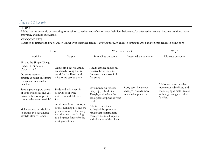# Ages 50 to 64

#### PURPOSE

Adults that are currently or preparing to transition to retirement reflect on how their lives before and/or after retirement can become healthier, more enjoyable, and more sustainable.

#### KEY CONCEPTS

transition to retirement; live healthier, longer lives; extended family is growing through children getting married and/or grandchildren being born

<span id="page-20-0"></span>

| How?                                                                                                             |                                                                                                                                                                                | What do we want?                                                                                                                               |                                                                       | Why?                                                                                                  |
|------------------------------------------------------------------------------------------------------------------|--------------------------------------------------------------------------------------------------------------------------------------------------------------------------------|------------------------------------------------------------------------------------------------------------------------------------------------|-----------------------------------------------------------------------|-------------------------------------------------------------------------------------------------------|
| Activity                                                                                                         | Output                                                                                                                                                                         | Immediate outcome                                                                                                                              | Intermediate outcome                                                  | Ultimate outcome                                                                                      |
| Fill out the Simple Things<br>Check In for Adults<br>(Appendix C)                                                | Adults find out what they<br>are already doing that is                                                                                                                         | Adults explore additional<br>positive behaviours to                                                                                            |                                                                       |                                                                                                       |
| Do some research to<br>educate yourself on climate<br>change and sustainable<br>practices.                       | good for the Earth, and<br>what more can be done.                                                                                                                              | decrease their ecological<br>footprint.                                                                                                        |                                                                       | Adults are living healthier,                                                                          |
| Start a garden: grow some<br>of your own food, and use<br>native or heirloom plant<br>species whenever possible! | Pride and enjoyment in<br>growing your own<br>nutritious and delicious<br>food.                                                                                                | Save money on grocery<br>bills, enjoy a healthier<br>lifestyle, and reduce the<br>ecological footprint of your<br>food.                        | Long-term behaviour<br>changes towards more<br>sustainable practices. | more sustainable lives, and<br>encouraging climate literacy<br>in their growing extended<br>families. |
| Make a conscious decision<br>to engage in a sustainable<br>lifestyle after retirement.                           | Adults continue to enjoy an<br>active, fulfilling life, and the<br>peace of mind of knowing<br>that they are contributing<br>to a brighter future for the<br>next generations. | Adults reduce their<br>ecological footprint and<br>realize that sustainability<br>corresponds to all aspects<br>and all stages of their lives. |                                                                       |                                                                                                       |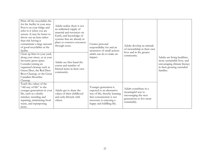| Print off the recyclables list<br>for the facility in your area.<br>Post it on your fridge and<br>refer to it when you are<br>unsure. It may be better to<br>throw out an item rather<br>than risk having it<br>contaminate a large amount<br>of good recyclables at the<br>facility. | Adults realize there is not<br>an unlimited supply of<br>material and resources on<br>Earth, and knowledge of<br>systems that are already in<br>place to conserve resources<br>through reuse. | Creates personal<br>responsibility for and an<br>awareness of small actions                                                                                             | Adults develop an attitude<br>of stewardship in their own<br>lives and in the greater                           |                                                                                                                                       |
|---------------------------------------------------------------------------------------------------------------------------------------------------------------------------------------------------------------------------------------------------------------------------------------|-----------------------------------------------------------------------------------------------------------------------------------------------------------------------------------------------|-------------------------------------------------------------------------------------------------------------------------------------------------------------------------|-----------------------------------------------------------------------------------------------------------------|---------------------------------------------------------------------------------------------------------------------------------------|
| Clean up litter in your yard,<br>along your street, or at your<br>favourite green space.<br>Consider joining an<br>organized cleanup such as<br>Green Deer, the Red Deer<br>River Cleanup, or the Great<br>Canadian Shoreline<br>Cleanup.                                             | Adults see first-hand the<br>extent and number of<br>littered items in their own<br>community.                                                                                                | adults can do to make an<br>impact.                                                                                                                                     | community.                                                                                                      | Adults are living healthier,<br>more sustainable lives, and<br>encouraging climate literacy<br>in their growing extended<br>families. |
| Teach the values of the<br>"old way of life" to the<br>younger generations in your<br>life, such as a thrifty<br>mindset, mending and<br>repairing, minimizing food<br>waste, and repurposing<br>items.                                                                               | Adults get to share the<br>values of their childhood<br>and early lifestyle with<br>others.                                                                                                   | Younger generation is<br>exposed to an alternative<br>way of life, thereby learning<br>that consumerism is not<br>necessary to enjoying a<br>happy and fulfilling life. | Adults contribute in a<br>meaningful way to<br>encouraging the next<br>generations to live more<br>sustainably. |                                                                                                                                       |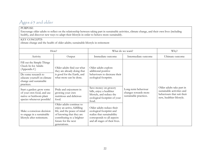# Ages 65 and older

#### PURPOSE

Encourage older adults to reflect on the relationship between taking part in sustainable activities, climate change, and their own lives (including health), and discover new ways to adapt their lifestyle in order to behave more sustainably.

#### KEY CONCEPTS

climate change and the health of older adults; sustainable lifestyle in retirement

<span id="page-22-0"></span>

| How?                                                                                                             |                                                                                                                                                                                         | What do we want?                                                                                                                                     |                                                                       | Why?                                                                                                               |
|------------------------------------------------------------------------------------------------------------------|-----------------------------------------------------------------------------------------------------------------------------------------------------------------------------------------|------------------------------------------------------------------------------------------------------------------------------------------------------|-----------------------------------------------------------------------|--------------------------------------------------------------------------------------------------------------------|
| Activity                                                                                                         | Output                                                                                                                                                                                  | Immediate outcome                                                                                                                                    | Intermediate outcome                                                  | Ultimate outcome                                                                                                   |
| Fill out the Simple Things<br>Check In for Adults<br>(Appendix C)<br>Do some research to                         | Older adults find out what<br>they are already doing that<br>is good for the Earth, and                                                                                                 | Older adults explore<br>additional positive<br>behaviours to decrease their                                                                          |                                                                       |                                                                                                                    |
| educate yourself on climate<br>change and sustainable<br>practices.                                              | what more can be done.                                                                                                                                                                  | ecological footprint.                                                                                                                                |                                                                       |                                                                                                                    |
| Start a garden: grow some<br>of your own food, and use<br>native or heirloom plant<br>species whenever possible! | Pride and enjoyment in<br>growing your own<br>nutritious and delicious<br>food.                                                                                                         | Save money on grocery<br>bills, enjoy a healthier<br>lifestyle, and reduce the<br>ecological footprint of your<br>food.                              | Long-term behaviour<br>changes towards more<br>sustainable practices. | Older adults take part in<br>sustainable activities and<br>behaviours that suit their<br>new, healthier lifestyle. |
| Make a conscious decision<br>to engage in a sustainable<br>lifestyle after retirement.                           | Older adults continue to<br>enjoy an active, fulfilling<br>life, and the peace of mind<br>of knowing that they are<br>contributing to a brighter<br>future for the next<br>generations. | Older adults reduce their<br>ecological footprint and<br>realize that sustainability<br>corresponds to all aspects<br>and all stages of their lives. |                                                                       |                                                                                                                    |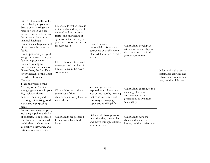| Print off the recyclables list<br>for the facility in your area.<br>Post it on your fridge and<br>refer to it when you are<br>unsure. It may be better to<br>throw out an item rather<br>than risk having it<br>contaminate a large amount<br>of good recyclables at the<br>facility. | Older adults realize there is<br>not an unlimited supply of<br>material and resources on<br>Earth, and knowledge of<br>systems that are already in<br>place to conserve resources<br>through reuse. | Creates personal<br>responsibility for and an<br>awareness of small actions                                                                                             | Older adults develop an<br>attitude of stewardship in<br>their own lives and in the                                   |                                                                                                                   |
|---------------------------------------------------------------------------------------------------------------------------------------------------------------------------------------------------------------------------------------------------------------------------------------|-----------------------------------------------------------------------------------------------------------------------------------------------------------------------------------------------------|-------------------------------------------------------------------------------------------------------------------------------------------------------------------------|-----------------------------------------------------------------------------------------------------------------------|-------------------------------------------------------------------------------------------------------------------|
| Clean up litter in your yard,<br>along your street, or at your<br>favourite green space.<br>Consider joining an<br>organized cleanup such as<br>Green Deer, the Red Deer<br>River Cleanup, or the Great<br>Canadian Shoreline<br>Cleanup.                                             | Older adults see first-hand<br>the extent and number of<br>littered items in their own<br>community.                                                                                                | older adults can do to make<br>an impact.                                                                                                                               | greater community.                                                                                                    | Older adults take part in<br>sustainable activities and<br>behaviours that suit their<br>new, healthier lifestyle |
| Teach the values of the<br>"old way of life" to the<br>younger generations in your<br>life, such as a thrifty<br>mindset, mending and<br>repairing, minimizing food<br>waste, and repurposing<br>items.                                                                               | Older adults get to share<br>the values of their<br>childhood and early lifestyle<br>with others.                                                                                                   | Younger generation is<br>exposed to an alternative<br>way of life, thereby learning<br>that consumerism is not<br>necessary to enjoying a<br>happy and fulfilling life. | Older adults contribute in a<br>meaningful way to<br>encouraging the next<br>generations to live more<br>sustainably. |                                                                                                                   |
| Prepare an emergency plan,<br>including supplies and a list<br>of contacts, to be prepared<br>for climate-change related<br>health risks, such as poor<br>air quality, heat waves, and<br>extreme weather events.                                                                     | Older adults are prepared<br>for climate related health<br>issues.                                                                                                                                  | Older adults have peace of<br>mind that they can survive<br>and thrive through extreme<br>weather events.                                                               | Older adults have the<br>ability and resources to live<br>longer, healthier, safer lives.                             |                                                                                                                   |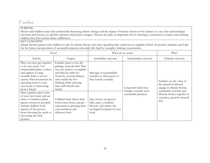### Families

#### PURPOSE

Parents and children must feel comfortable discussing climate change and the impact of human actions on the climate in a way that acknowledges emotions and focuses on specific solutions and positive imagery. Parents also play an important role in fostering a connection to nature and teaching children that their actions make a difference.

#### KEY CONCEPTS

climate-literate parents raise children to also be climate-literate and enjoy spending time outdoors; no tragedies before 10; positive attitudes and hope for the future; incorporation of sustainable practices into daily life (lead by example); limiting consumerism

<span id="page-24-0"></span>

| How?                                                                                                                                                                                                                                          |                                                                                                                                                                                                                                         | What do we want?                                                                                                        |                                             | Why?                                                                                                            |
|-----------------------------------------------------------------------------------------------------------------------------------------------------------------------------------------------------------------------------------------------|-----------------------------------------------------------------------------------------------------------------------------------------------------------------------------------------------------------------------------------------|-------------------------------------------------------------------------------------------------------------------------|---------------------------------------------|-----------------------------------------------------------------------------------------------------------------|
| Activity                                                                                                                                                                                                                                      | Output                                                                                                                                                                                                                                  | Immediate outcome                                                                                                       | Intermediate outcome                        | Ultimate outcome                                                                                                |
| Plan your next get-together<br>to be zero waste. Use<br>compostable plates, cutlery,<br>and napkins if using<br>reusable items is not an<br>option. Find decorations by<br>upcycling items in your<br>own home or borrowing<br>from a friend. | Families learn to lose the<br>garbage, keep the fun! They<br>can save money on supplies<br>and find an outlet for<br>creativity, resourcefulness,<br>and outside the box<br>thinking while enjoying<br>time with friends and<br>family. | Message of sustainability<br>transfers to their guests as<br>they lead by example.                                      | Long-term behaviour<br>changes towards more | Families see the value of<br>the natural world and<br>engage in climate-literate,<br>sustainable activities and |
| Start a garden: grow some<br>of your own food, and use<br>native or heirloom plant<br>species whenever possible!<br>Include children in all<br>aspects of the process,<br>from choosing the seeds to<br>harvesting the final<br>product.      | Children learn where their<br>food comes from, and get<br>enjoyment in growing their<br>own nutritious and<br>delicious food.                                                                                                           | Save money on grocery<br>bills, enjoy a healthier<br>lifestyle, and reduce the<br>ecological footprint of your<br>food. | sustainable practices.                      | lifestyle choices together in<br>a positive, growth-oriented<br>way.                                            |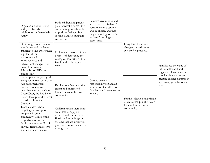| Organize a clothing swap<br>with your friends,<br>neighbours, or (extended)<br>family.                                                                                                                                                    | Both children and parents<br>get a wardrobe refresh in a<br>social setting, which leads<br>to positive feelings about<br>second-hand clothing and<br>accessories.                               | Families save money and<br>learn that "fast fashion"<br>consumerism is optional<br>and by choice, and that<br>they can look good in "new<br>to them" clothing and<br>accessories. |                                                                                         |                                                                                                                 |
|-------------------------------------------------------------------------------------------------------------------------------------------------------------------------------------------------------------------------------------------|-------------------------------------------------------------------------------------------------------------------------------------------------------------------------------------------------|-----------------------------------------------------------------------------------------------------------------------------------------------------------------------------------|-----------------------------------------------------------------------------------------|-----------------------------------------------------------------------------------------------------------------|
| Go through each room in<br>your house and challenge<br>children to find where there<br>is potential for<br>environmental<br>improvements and<br>behavioural changes. For<br>example, changing<br>lightbulbs to LEDs and<br>composting.    | Children are involved in the<br>process of decreasing the<br>ecological footprint of the<br>family and feel engaged as a<br>result.                                                             |                                                                                                                                                                                   | Long-term behaviour<br>changes towards more<br>sustainable practices.                   | Families see the value of<br>the natural world and<br>engage in climate-literate,<br>sustainable activities and |
| Clean up litter in your yard,<br>along your street, or at your<br>favourite green space.<br>Consider joining an<br>organized cleanup such as<br>Green Deer, the Red Deer<br>River Cleanup, or the Great<br>Canadian Shoreline<br>Cleanup. | Families see first-hand the<br>extent and number of<br>littered items in their own<br>community.                                                                                                | Creates personal<br>responsibility for and an<br>awareness of small actions<br>families can do to make an<br>impact.                                                              | Families develop an attitude<br>of stewardship in their own<br>lives and in the greater | lifestyle choices together in<br>a positive, growth-oriented<br>way.                                            |
| Teach children about<br>recycling and compost<br>programs in your<br>community. Print off the<br>recyclables list for the<br>facility in your area. Post it<br>on your fridge and refer to<br>it when you are unsure.                     | Children realize there is not<br>an unlimited supply of<br>material and resources on<br>Earth, and knowledge of<br>systems that are already in<br>place to conserve resources<br>through reuse. |                                                                                                                                                                                   | community.                                                                              |                                                                                                                 |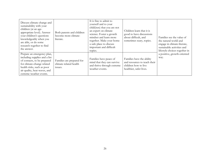| Discuss climate change and<br>sustainability with your<br>children (at an age-<br>appropriate level). Answer<br>your children's questions<br>knowledgeably when you<br>are able, or do some<br>research together to find<br>the answer. | Both parents and children<br>become more climate-<br>literate. | It is fine to admit to<br>yourself and to your<br>child(ren) that you are not<br>an expert on climate<br>science. Foster a growth<br>mindset and learn more<br>together. Make your home<br>a safe place to discuss<br>important and difficult<br>topics. | Children learn that it is<br>good to have discussions<br>about difficult, and<br>sometimes scary, topics.    | Families see the value of<br>the natural world and<br>engage in climate-literate,<br>sustainable activities and<br>lifestyle choices together in |
|-----------------------------------------------------------------------------------------------------------------------------------------------------------------------------------------------------------------------------------------|----------------------------------------------------------------|----------------------------------------------------------------------------------------------------------------------------------------------------------------------------------------------------------------------------------------------------------|--------------------------------------------------------------------------------------------------------------|--------------------------------------------------------------------------------------------------------------------------------------------------|
| Prepare an emergency plan,<br>including supplies and a list<br>of contacts, to be prepared<br>for climate-change related<br>health risks, such as poor<br>air quality, heat waves, and<br>extreme weather events.                       | Families are prepared for<br>climate related health<br>issues. | Families have peace of<br>mind that they can survive<br>and thrive through extreme<br>weather events.                                                                                                                                                    | Families have the ability<br>and resources to teach their<br>children how to live<br>healthier, safer lives. | a positive, growth-oriented<br>way.                                                                                                              |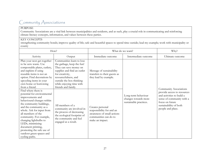# Community Associations

#### PURPOSE

Community Associations are a vital link between municipalities and residents, and as such, play a crucial role in communicating and reinforcing climate literacy concepts, information, and values between these parties.

#### KEY CONCEPTS

strengthening community bonds; improve quality of life; safe and beautiful spaces to spend time outside; lead my example; work with municipality or county

<span id="page-27-0"></span>

| How?                                                                                                                                                                                                                                                                                                                                                                                    |                                                                                                                                                                                                                                            |                                                                                                                         | What do we want?                                                      | Why?                                                                                                                                                    |
|-----------------------------------------------------------------------------------------------------------------------------------------------------------------------------------------------------------------------------------------------------------------------------------------------------------------------------------------------------------------------------------------|--------------------------------------------------------------------------------------------------------------------------------------------------------------------------------------------------------------------------------------------|-------------------------------------------------------------------------------------------------------------------------|-----------------------------------------------------------------------|---------------------------------------------------------------------------------------------------------------------------------------------------------|
| Activity                                                                                                                                                                                                                                                                                                                                                                                | Output                                                                                                                                                                                                                                     | Immediate outcome                                                                                                       | Intermediate outcome                                                  | Ultimate outcome                                                                                                                                        |
| Plan your next get-together<br>to be zero waste. Use<br>compostable plates, cutlery,<br>and napkins if using<br>reusable items is not an<br>option. Find decorations by<br>upcycling items in your<br>own home or borrowing<br>from a friend.                                                                                                                                           | Communities learn to lose<br>the garbage, keep the fun!<br>They can save money on<br>supplies and find an outlet<br>for creativity,<br>resourcefulness, and<br>outside the box thinking<br>while enjoying time with<br>friends and family. | Message of sustainability<br>transfers to their guests as<br>they lead by example.                                      |                                                                       | Community Associations                                                                                                                                  |
| Find where there is<br>potential for environmental<br>improvements and<br>behavioural changes within<br>the community buildings,<br>and the community as a<br>whole. Ask for input from<br>all members of the<br>community. For example,<br>changing lightbulbs to<br>LEDs, minimizing<br>document printing,<br>promoting the safe use of<br>outdoor green spaces and<br>cycling paths. | All members of a<br>community are involved in<br>the process of decreasing<br>the ecological footprint of<br>the community and feel<br>engaged as a result.                                                                                | Creates personal<br>responsibility for and an<br>awareness of small actions<br>communities can do to<br>make an impact. | Long-term behaviour<br>changes towards more<br>sustainable practices. | provide access to resources<br>and activities to build a<br>sense of community with a<br>focus on future<br>sustainability of both<br>people and place. |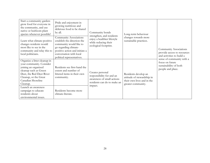| Start a community garden:<br>grow food for everyone in<br>the community, and use<br>native or heirloom plant<br>species whenever possible!                                                       | Pride and enjoyment in<br>growing nutritious and<br>delicious food to be shared<br>by all.                                                                                                           | Community bonds<br>strengthen, and residents                                                                          | Long-term behaviour                                                                                    |                                                                                             |
|--------------------------------------------------------------------------------------------------------------------------------------------------------------------------------------------------|------------------------------------------------------------------------------------------------------------------------------------------------------------------------------------------------------|-----------------------------------------------------------------------------------------------------------------------|--------------------------------------------------------------------------------------------------------|---------------------------------------------------------------------------------------------|
| Learn what climate-positive<br>changes residents would<br>most like to see in the<br>community and relay this to<br>local politicians.                                                           | Community Associations<br>establish the direction the<br>community would like to<br>go regarding climate-<br>positive action and initiate a<br>conversation with local<br>political representatives. | enjoy a healthier lifestyle<br>while reducing their<br>ecological footprint.                                          | changes towards more<br>sustainable practices.                                                         | Community Associations<br>provide access to resources<br>and activities to build a          |
| Organize a litter cleanup in<br>your community. Consider<br>joining an organized<br>cleanup such as Green<br>Deer, the Red Deer River<br>Cleanup, or the Great<br>Canadian Shoreline<br>Cleanup. | Residents see first-hand the<br>extent and number of<br>littered items in their own<br>community.                                                                                                    | Creates personal<br>responsibility for and an<br>awareness of small actions<br>residents can do to make an<br>impact. | Residents develop an<br>attitude of stewardship in<br>their own lives and in the<br>greater community. | sense of community with a<br>focus on future<br>sustainability of both<br>people and place. |
| Launch an awareness<br>campaign to educate<br>residents about<br>environmental issues.                                                                                                           | Residents become more<br>climate-literate.                                                                                                                                                           |                                                                                                                       |                                                                                                        |                                                                                             |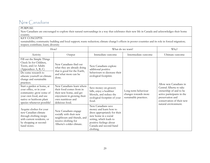# New Canadians

#### PURPOSE

New Canadians are encouraged to explore their natural surroundings in a way that celebrates their new life in Canada and acknowledges their home country.

#### KEY CONCEPTS

sustainability; community building and local support; waste reduction; climate change's effects in poorer countries and its role in forced migration; respect; contribute; learn; diversity

<span id="page-29-0"></span>

| How?                                                                                                                                                                                               |                                                                                                                                                         |                                                                                                                                                                                                    | What do we want?                                                      |                                                                                                                                                          |
|----------------------------------------------------------------------------------------------------------------------------------------------------------------------------------------------------|---------------------------------------------------------------------------------------------------------------------------------------------------------|----------------------------------------------------------------------------------------------------------------------------------------------------------------------------------------------------|-----------------------------------------------------------------------|----------------------------------------------------------------------------------------------------------------------------------------------------------|
| Activity                                                                                                                                                                                           | Output                                                                                                                                                  | Immediate outcome                                                                                                                                                                                  | Intermediate outcome                                                  | Ultimate outcome                                                                                                                                         |
| Fill out the Simple Things<br>Check In for Children,<br>Teens, and/or Adults<br>(Appendices A, B, C)<br>Do some research to<br>educate yourself on climate<br>change and sustainable<br>practices. | New Canadians find out<br>what they are already doing<br>that is good for the Earth,<br>and what more can be<br>done.                                   | New Canadians explore<br>additional positive<br>behaviours to decrease their<br>ecological footprint.                                                                                              |                                                                       | Allow new Canadians in                                                                                                                                   |
| Start a garden at home, at<br>your office, or in your<br>community: grow some of<br>your own food, and use<br>native or heirloom plant<br>species whenever possible!                               | New Canadians learn where<br>their food comes from in<br>their new home, and get<br>enjoyment in growing their<br>own nutritious and<br>delicious food. | Save money on grocery<br>bills, enjoy a healthier<br>lifestyle, and reduce the<br>ecological footprint of your<br>food.                                                                            | Long-term behaviour<br>changes towards more<br>sustainable practices. | Central Alberta to take<br>ownership of and to be<br>active participants in the<br>preservation and<br>conservation of their new<br>natural environment. |
| Acquire clothes for your<br>new Canadian climate<br>through clothing swaps<br>with current residents, or<br>by shopping at second-<br>hand stores.                                                 | New Canadians engage<br>socially with their new<br>neighbours and friends, and<br>receive clothing for<br>Alberta's colder climate.                     | New Canadians save<br>money and learn how to<br>dress appropriately for their<br>new home in a social<br>setting, which leads to<br>positive feelings about<br>Canada and second-hand<br>clothing. |                                                                       |                                                                                                                                                          |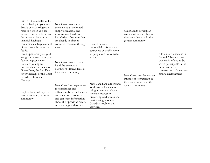| Print off the recyclables list<br>for the facility in your area.<br>Post it on your fridge and<br>refer to it when you are<br>unsure. It may be better to<br>throw out an item rather<br>than risk having it<br>contaminate a large amount<br>of good recyclables at the<br>facility. | New Canadians realize<br>there is not an unlimited<br>supply of material and<br>resources on Earth, and<br>knowledge of systems that<br>are already in place to<br>conserve resources through<br>reuse. | Creates personal<br>responsibility for and an<br>awareness of small actions                                                                                                                                 | Older adults develop an<br>attitude of stewardship in<br>their own lives and in the<br>greater community. |                                                                                                                                                                                   |
|---------------------------------------------------------------------------------------------------------------------------------------------------------------------------------------------------------------------------------------------------------------------------------------|---------------------------------------------------------------------------------------------------------------------------------------------------------------------------------------------------------|-------------------------------------------------------------------------------------------------------------------------------------------------------------------------------------------------------------|-----------------------------------------------------------------------------------------------------------|-----------------------------------------------------------------------------------------------------------------------------------------------------------------------------------|
| Clean up litter in your yard,<br>along your street, or at your<br>favourite green space.<br>Consider joining an<br>organized cleanup such as<br>Green Deer, the Red Deer<br>River Cleanup, or the Great<br>Canadian Shoreline<br>Cleanup.                                             | New Canadians see first-<br>hand the extent and<br>number of littered items in<br>their own community.                                                                                                  | all people can do to make<br>an impact.                                                                                                                                                                     | New Canadians develop an<br>attitude of stewardship in<br>their own lives and in the                      | Allow new Canadians in<br>Central Alberta to take<br>ownership of and to be<br>active participants in the<br>preservation and<br>conservation of their new<br>natural environment |
| Explore local wild spaces<br>natural areas in your new<br>community.                                                                                                                                                                                                                  | New Canadians experience<br>the similarities and<br>differences between Canada<br>and their home country,<br>and can share information<br>about their previous natural<br>surroundings with others.     | New Canadians understand<br>local natural habitats as<br>being inherently safe, and<br>show an interest in<br>preserving wild spaces and<br>participating in outdoor<br>Canadian hobbies and<br>activities. | greater community.                                                                                        |                                                                                                                                                                                   |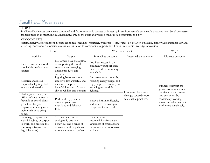# Small Local Businesses

#### PURPOSE

Small local businesses can ensure continued and future economic success by investing in environmentally sustainable practices now. Small businesses can take pride in contributing in a meaningful way to the goals and values of their local community and city.

#### KEY CONCEPTS

sustainability; waste reduction; circular economy; "greening" practices, workspaces, structures (e.g. solar on buildings, living walls); sustainability and attracting more/new customers; success; contribution to community; opportunity; honest; economic diversity; innovation

<span id="page-31-0"></span>

| How?                                                                                                                                                                    |                                                                                                                                              | What do we want?                                                                                                            |                                                | Why?                                                                                          |
|-------------------------------------------------------------------------------------------------------------------------------------------------------------------------|----------------------------------------------------------------------------------------------------------------------------------------------|-----------------------------------------------------------------------------------------------------------------------------|------------------------------------------------|-----------------------------------------------------------------------------------------------|
| Activity                                                                                                                                                                | Output                                                                                                                                       | Immediate outcome                                                                                                           | Intermediate outcome                           | Ultimate outcome                                                                              |
| Seek out and stock local,<br>sustainable products and<br>services                                                                                                       | Customers have the option<br>of supporting the local<br>economy and enjoying<br>unique products and<br>services.                             | Local businesses in the<br>community support each<br>other and the community<br>as a whole.                                 |                                                |                                                                                               |
| Research and install<br>responsible lighting, both<br>interior and exterior                                                                                             | Lighting becomes more<br>effective, less wasteful, and<br>increases the proven<br>beneficial impact of a dark<br>sky on wildlife and humans. | Businesses save money by<br>reducing energy usage, and<br>enjoy improved security by<br>installing responsible<br>lighting. | Long-term behaviour                            | Businesses impact the<br>greater community in a<br>positive way and attract                   |
| Start a garden near your<br>office building or keep a<br>few indoor potted plants:<br>grow food for your<br>employees to enjoy with<br>their lunch or to bring<br>home. | Pride and enjoyment in<br>growing your own<br>nutritious and delicious<br>food.                                                              | Enjoy a healthier lifestyle,<br>and reduce the ecological<br>footprint of your food.                                        | changes towards more<br>sustainable practices. | new customers by<br>consciously working<br>towards conducting their<br>work more sustainably. |
| Encourage employees to<br>walk, bike, bus, or carpool<br>to work, and provide the<br>necessary infrastructure<br>(e.g. bike racks).                                     | Staff members model<br>ecologically positive<br>behaviour and a sense of<br>camaraderie if they choose<br>to travel to work together.        | Creates personal<br>responsibility for and an<br>awareness of small actions<br>businesses can do to make<br>an impact.      |                                                |                                                                                               |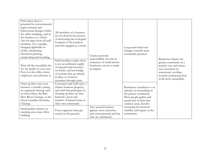| Find where there is<br>potential for environmental<br>improvements and<br>behavioural changes within<br>the office buildings, and in<br>the business as a whole.<br>Ask for input from all staff<br>members. For example,<br>changing lightbulbs to<br>LEDs, minimizing<br>document printing,<br>composting and recycling.<br>Print off the recyclables list<br>for the facility in your area.<br>Post it in the office where<br>employees can reference it. | All members of a business<br>are involved in the process<br>of decreasing the ecological<br>footprint of the business<br>and feel engaged as a result.<br>Staff members realize there<br>is not an unlimited supply<br>of material and resources<br>on Earth, and knowledge<br>of systems that are already<br>in place to conserve<br>resources through reuse. | Creates personal<br>responsibility for and an<br>awareness of small actions<br>businesses can do to make<br>an impact. | Long-term behaviour<br>changes towards more<br>sustainable practices.                                                                                                | Businesses impact the<br>greater community in a<br>positive way and attract<br>new customers by<br>consciously working<br>towards conducting their<br>work more sustainably. |
|--------------------------------------------------------------------------------------------------------------------------------------------------------------------------------------------------------------------------------------------------------------------------------------------------------------------------------------------------------------------------------------------------------------------------------------------------------------|----------------------------------------------------------------------------------------------------------------------------------------------------------------------------------------------------------------------------------------------------------------------------------------------------------------------------------------------------------------|------------------------------------------------------------------------------------------------------------------------|----------------------------------------------------------------------------------------------------------------------------------------------------------------------|------------------------------------------------------------------------------------------------------------------------------------------------------------------------------|
| Clean up litter near your<br>business. Consider joining<br>an organized cleanup such<br>as Green Deer, the Red<br>Deer River Cleanup, or the<br>Great Canadian Shoreline<br>Cleanup.                                                                                                                                                                                                                                                                         | Customers and staff enjoy a<br>cleaner business property,<br>and staff that participate in<br>cleaning up litter see first-<br>hand the extent and<br>number of littered items in<br>their own community.                                                                                                                                                      |                                                                                                                        | Businesses contribute to an<br>attitude of stewardship in<br>the greater community.<br>More people gather and<br>spend time in litter-free<br>outdoor areas, thereby |                                                                                                                                                                              |
| Install public ashtrays in<br>smoking areas near office<br>building.                                                                                                                                                                                                                                                                                                                                                                                         | Fewer cigarette butts get<br>tossed on the ground.                                                                                                                                                                                                                                                                                                             | Area around business<br>appears more attractive,<br>and environmental and fire<br>risks are minimized.                 | increasing the business'<br>visibility and impact in the<br>community.                                                                                               |                                                                                                                                                                              |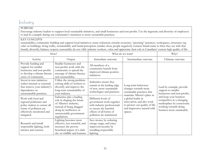### Industry

#### PURPOSE

Encourage industry leaders to support local sustainable initiatives, and small businesses and non-profits. Use the ingenuity and diversity of employees to lead by example during our community's transition to more sustainable practices.

#### KEY CONCEPTS

sustainability; community building and support local initiatives; waste reduction; circular economy; "greening" practices, workspaces, structures (eg. solar on buildings, living walls), sustainability and brand perception (studies show people negatively connect brand name to litter they see with that brand); diversify; balance; respect; reasonable; do not vilify industry workers, value and appreciate their role in Canadians' current high quality of life

<span id="page-33-0"></span>

|                                                                                                                                                     | How?                                                                                                                                                                                |                                                                                                                                                                | What do we want?                                                                                                                                           | Why?                                                                                                                                     |
|-----------------------------------------------------------------------------------------------------------------------------------------------------|-------------------------------------------------------------------------------------------------------------------------------------------------------------------------------------|----------------------------------------------------------------------------------------------------------------------------------------------------------------|------------------------------------------------------------------------------------------------------------------------------------------------------------|------------------------------------------------------------------------------------------------------------------------------------------|
| Activity                                                                                                                                            | Output                                                                                                                                                                              | Immediate outcome                                                                                                                                              | Intermediate outcome                                                                                                                                       | Ultimate outcome                                                                                                                         |
| Provide funding and<br>support for smaller<br>businesses and non-profits<br>to develop a climate-literate<br>sense of community.                    | Smaller businesses and<br>non-profits work with the<br>community to spread the<br>message of climate-literacy<br>and sustainability.                                                | All members of a<br>community benefit from<br>improved climate-positive<br>initiatives.                                                                        |                                                                                                                                                            |                                                                                                                                          |
| Invest in new initiatives<br>(either internal or external)<br>that remove your industry's<br>dependence on<br>unsustainable practices.              | Utilize the strong problem-<br>solving skills of workers to<br>diversify and improve the<br>long-term sustainability of<br>your industry.                                           | Industries ensure they<br>remain at the leading edge<br>of new, more sustainable<br>technologies and practices.                                                | Long-term behaviour<br>changes towards more<br>sustainable practices that                                                                                  | Lead by example, provide<br>support to smaller<br>businesses and non-profits,                                                            |
| Work with local and<br>regional politicians and<br>policy-makers to ensure all<br>forms of pollution are<br>effectively monitored and<br>mitigated. | Industries play a leading<br>role in shaping the future<br>of Alberta's industry,<br>instead of being dragged<br>along by ineffective or<br>unreasonable government<br>regulations. | Different levels of<br>government work together<br>with industry professionals<br>to ensure the harmful<br>effects of all forms of<br>pollution are minimized. | maintain Alberta's place as<br>a global leader in<br>innovation, and also work<br>to protect our quality of life<br>and impressive natural wild<br>spaces. | and keep your business<br>competitive in a changing<br>marketplace by consciously<br>working towards doing<br>business more sustainably. |
| Research and install<br>responsible lighting, both<br>interior and exterior.                                                                        | Lighting becomes more<br>effective, less wasteful, and<br>increases the proven<br>beneficial impact of a dark<br>sky on wildlife and humans.                                        | Save money by reducing<br>energy usage, and enjoy<br>improved security by<br>installing responsible<br>lighting.                                               |                                                                                                                                                            |                                                                                                                                          |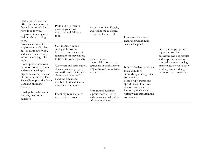| Start a garden near your<br>office building or keep a<br>few indoor potted plants:<br>grow food for your<br>employees to enjoy with<br>their lunch or to bring<br>home.                                   | Pride and enjoyment in<br>growing your own<br>nutritious and delicious<br>food.                                                                                                                           | Enjoy a healthier lifestyle,<br>and reduce the ecological<br>footprint of your food.                    | Long-term behaviour<br>changes towards more                                                                                                                                   |                                                                                                                |
|-----------------------------------------------------------------------------------------------------------------------------------------------------------------------------------------------------------|-----------------------------------------------------------------------------------------------------------------------------------------------------------------------------------------------------------|---------------------------------------------------------------------------------------------------------|-------------------------------------------------------------------------------------------------------------------------------------------------------------------------------|----------------------------------------------------------------------------------------------------------------|
| Provide incentives for<br>employees to walk, bike,<br>bus, or carpool to work,<br>and install the necessary<br>infrastructure (e.g. bike<br>racks).                                                       | Staff members model<br>ecologically positive<br>behaviour and a sense of<br>camaraderie if they choose<br>to travel to work together.                                                                     | Creates personal                                                                                        | sustainable practices.                                                                                                                                                        | Lead by example, provide<br>support to smaller<br>businesses and non-profits,<br>and keep your business        |
| Clean up litter near your<br>business. Consider joining<br>and/or supporting an<br>organized cleanup such as<br>Green Deer, the Red Deer<br>River Cleanup, or the Great<br>Canadian Shoreline<br>Cleanup. | Customers and staff enjoy a<br>cleaner business property,<br>and staff that participate in<br>cleaning up litter see first-<br>hand the extent and<br>number of littered items in<br>their own community. | responsibility for and an<br>awareness of small actions<br>employees can do to make<br>an impact.       | Industry leaders contribute<br>to an attitude of<br>stewardship in the greater<br>community.<br>More people gather and<br>spend time in litter-free<br>outdoor areas, thereby | competitive in a changing<br>marketplace by consciously<br>working towards doing<br>business more sustainably. |
| Install public ashtrays in<br>smoking areas near<br>buildings.                                                                                                                                            | Fewer cigarette butts get<br>tossed on the ground.                                                                                                                                                        | Area around buildings<br>appears more attractive,<br>and environmental and fire<br>risks are minimized. | increasing the business'<br>visibility and impact in the<br>community.                                                                                                        |                                                                                                                |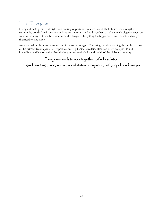# <span id="page-35-0"></span>Final Thoughts

Living a climate-positive lifestyle is an exciting opportunity to learn new skills, hobbies, and strengthen community bonds. Small, personal actions are important and add together to make a much bigger change, but we must be wary of token behaviours and the danger of forgetting the bigger social and industrial changes that need to take place.

An informed public must be cognisant of the consensus gap. Confusing and disinforming the public are two of the primary techniques used by political and big business leaders, often fueled by large profits and immediate gratification rather than the long-term sustainability and health of the global community.

### Everyone needs to work together to find a solution

regardless of age, race, income, social status, occupation, faith, or political leanings.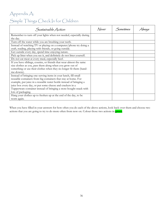# <span id="page-36-0"></span>Appendix A: Simple Things Check In for Children

| Sustainable Action                                                     | Never | Sometimes | lway |
|------------------------------------------------------------------------|-------|-----------|------|
| Remember to turn off your lights when not needed, especially during    |       |           |      |
| the day.                                                               |       |           |      |
| Turn off the water while you are brushing your teeth.                  |       |           |      |
| Instead of watching TV or playing on a computer/phone try doing a      |       |           |      |
| craft, reading, playing with friends, or going outside.                |       |           |      |
| Get outside every day, spend time enjoying nature.                     |       |           |      |
| Pick up litter when you see it, and definitely do not litter yourself. |       |           |      |
| Do not eat meat at every meal, especially beef.                        |       |           |      |
| If you have siblings, cousins, or friends that wear almost the same    |       |           |      |
| size clothes as you, pass them along when you grow out of              |       |           |      |
| something or use their clothes when they no longer fit them (hand-     |       |           |      |
| me-downs).                                                             |       |           |      |
| Instead of bringing one-serving items in your lunch, fill small        |       |           |      |
| reusable containers from big containers that stay at home. For         |       |           |      |
| example, put juice in a reusable water bottle instead of bringing a    |       |           |      |
| juice box every day, or put some cheese and crackers in a              |       |           |      |
| Tupperware container instead of bringing a store-bought snack with     |       |           |      |
| lots of packaging.                                                     |       |           |      |
| Hang your clothes up to freshen up at the end of the day, to be        |       |           |      |
| worn again.                                                            |       |           |      |

When you have filled in your answers for how often you do each of the above actions, look back over them and choose two actions that you are going to try to do more often from now on. Colour those two actions in **green**.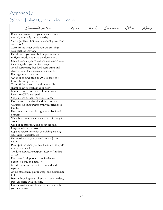# <span id="page-37-0"></span>Appendix B: Simple Things Check In for Teens

| Sustainable Action                                                                        | Never | Rarely | Sometimes | (Hten | Always |
|-------------------------------------------------------------------------------------------|-------|--------|-----------|-------|--------|
| Remember to turn off your lights when not<br>needed, especially during the day.           |       |        |           |       |        |
| Start a garden at home or at school: grow your<br>own food!                               |       |        |           |       |        |
| Turn off the water while you are brushing<br>your teeth or shaving.                       |       |        |           |       |        |
| Decide what you want before you open the<br>refrigerator, do not leave the door open.     |       |        |           |       |        |
| Use all reusable plates, cutlery, containers, etc.,<br>including when you get food to-go. |       |        |           |       |        |
| Avoid supporting fast-food restuarants and<br>chains. Eat at local restaurants instead.   |       |        |           |       |        |
| Eat vegetarian or vegan.<br>Cut your shower time by 20% or take one                       |       |        |           |       |        |
| fewer shower per week.<br>Turn off the water in the shower while                          |       |        |           |       |        |
| shampooing or washing your body.<br>Minimize use of aerosols. Do not buy it if            |       |        |           |       |        |
| halons or CFCs are listed.<br>Shop at second-hand or thrift stores.                       |       |        |           |       |        |
| Donate to second-hand and thrift stores.<br>Organize clothing swaps with your friends or  |       |        |           |       |        |
| family.<br>Keep an extra reusable bag in your backpack                                    |       |        |           |       |        |
| or purse.<br>Walk, bike, rollerblade, skateboard etc. to get                              |       |        |           |       |        |
| around.<br>Use public transportation to get around.                                       |       |        |           |       |        |
| Carpool whenever possible.<br>Replace screen time with socializing, making                |       |        |           |       |        |
| art, reading, exercise, etc.<br>Get outside everyday, spend time enjoying                 |       |        |           |       |        |
| nature.<br>Pick up litter when you see it, and definitely do                              |       |        |           |       |        |
| not litter yourself.<br>"Reduce, Reuse, Repurpose, Recycle" in that                       |       |        |           |       |        |
| order!<br>Recycle old cell phones, mobile devices,                                        |       |        |           |       |        |
| batteries, pens, and markers.                                                             |       |        |           |       |        |
| Mend and repair rather than discard and<br>replace.                                       |       |        |           |       |        |
| Avoid Styrofoam, plastic wrap, and aluminium<br>foil.                                     |       |        |           |       |        |
| Before throwing away plastic six-pack holders,<br>cut each circle with scissors.          |       |        |           |       |        |
| Use a reusable water bottle and carry it with<br>you at all times.                        |       |        |           |       |        |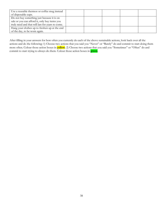| Use a reusable thermos or coffee mug instead     |  |  |  |
|--------------------------------------------------|--|--|--|
| of disposable cups.                              |  |  |  |
| Do not buy something just because it is on       |  |  |  |
| sale or you can afford it, only buy items you    |  |  |  |
| truly need and that will last for years to come. |  |  |  |
| Hang your clothes up to freshen up at the end    |  |  |  |
| of the day, to be worn again.                    |  |  |  |

After filling in your answers for how often you currently do each of the above sustainable actions, look back over all the actions and do the following: 1) Choose two actions that you said you "Never" or "Rarely" do and commit to start doing them more often. Colour those action boxes in **yellow**. 2) Choose two actions that you said you "Sometimes" or "Often" do and commit to start trying to always do them. Colour those action boxes in **green**.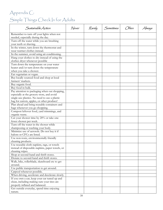# <span id="page-39-0"></span>Appendix C: Simple Things Check In for Adults

| Sustainable Action                                                              | Never | Rarely | Sometimes | (Hten | Always |
|---------------------------------------------------------------------------------|-------|--------|-----------|-------|--------|
| Remember to turn off your lights when not<br>needed, especially during the day. |       |        |           |       |        |
| Turn off the water while you are brushing                                       |       |        |           |       |        |
| your teeth or shaving.                                                          |       |        |           |       |        |
| In the winter, turn down the thermostat and                                     |       |        |           |       |        |
| wear warmer clothes instead.                                                    |       |        |           |       |        |
| In the summer, avoid using air conditioning.                                    |       |        |           |       |        |
| Hang your clothes to dry instead of using the                                   |       |        |           |       |        |
| clothes dryer whenever possible                                                 |       |        |           |       |        |
| Turn down the temperature on your water                                         |       |        |           |       |        |
| heater and/or turn down the temperature                                         |       |        |           |       |        |
| when you take a shower.                                                         |       |        |           |       |        |
| Eat vegetarian or vegan.                                                        |       |        |           |       |        |
| Buy locally sourced food and shop at local                                      |       |        |           |       |        |
| farmers' markets.                                                               |       |        |           |       |        |
| Buy organic food.                                                               |       |        |           |       |        |
| Buy food in bulk.                                                               |       |        |           |       |        |
| Pay attention to packaging when out shopping,                                   |       |        |           |       |        |
| especially at the grocery store, and avoid                                      |       |        |           |       |        |
| single-use plastics. No need to use a plastic                                   |       |        |           |       |        |
| bag for carrots, apples, or other produce!                                      |       |        |           |       |        |
| Plan ahead and bring reusable containers and                                    |       |        |           |       |        |
| bags whenever you go shopping.                                                  |       |        |           |       |        |
| Compost leftover food, yard trimmings, and                                      |       |        |           |       |        |
| organic waste.                                                                  |       |        |           |       |        |
| Cut your shower time by 20% or take one                                         |       |        |           |       |        |
| fewer shower per week.                                                          |       |        |           |       |        |
| Turn off the water in the shower while                                          |       |        |           |       |        |
| shampooing or washing your body.                                                |       |        |           |       |        |
| Minimize use of aerosols. Do not buy it if                                      |       |        |           |       |        |
| halons or CFCs are listed.                                                      |       |        |           |       |        |
| Use non-toxic, environmentally friendly                                         |       |        |           |       |        |
| cleaning products.                                                              |       |        |           |       |        |
| Use reusable cloth napkins, rags, or towels                                     |       |        |           |       |        |
| instead of disposable napkins, paper towels, or                                 |       |        |           |       |        |
| cleaning wipes.                                                                 |       |        |           |       |        |
| Shop at second-hand and thrift stores.                                          |       |        |           |       |        |
| Donate to second-hand and thrift stores.                                        |       |        |           |       |        |
| Walk, bike, rollerblade, skateboard etc to get                                  |       |        |           |       |        |
| around.                                                                         |       |        |           |       |        |
| Use public transportation to get around.                                        |       |        |           |       |        |
| Carpool whenever possible.                                                      |       |        |           |       |        |
| When driving, accelerate and decelerate slowly.                                 |       |        |           |       |        |
| If you own a car, keep your car tuned up and                                    |       |        |           |       |        |
| clean, including making sure your tires are                                     |       |        |           |       |        |
| properly inflated and balanced.                                                 |       |        |           |       |        |
| Get outside everyday, spend time enjoying                                       |       |        |           |       |        |
| nature.                                                                         |       |        |           |       |        |